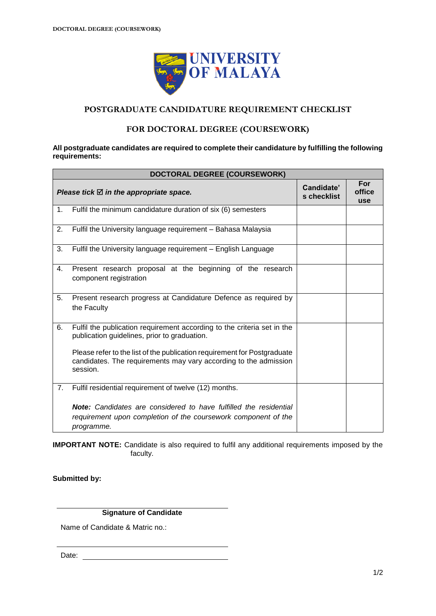

## **POSTGRADUATE CANDIDATURE REQUIREMENT CHECKLIST**

### **FOR DOCTORAL DEGREE (COURSEWORK)**

#### **All postgraduate candidates are required to complete their candidature by fulfilling the following requirements:**

| DOCTORAL DEGREE (COURSEWORK) |                                                                                                                                                          |                           |                             |  |  |
|------------------------------|----------------------------------------------------------------------------------------------------------------------------------------------------------|---------------------------|-----------------------------|--|--|
|                              | Please tick $\boxtimes$ in the appropriate space.                                                                                                        | Candidate'<br>s checklist | For<br>office<br><b>use</b> |  |  |
| 1 <sub>1</sub>               | Fulfil the minimum candidature duration of six (6) semesters                                                                                             |                           |                             |  |  |
| 2.                           | Fulfil the University language requirement - Bahasa Malaysia                                                                                             |                           |                             |  |  |
| 3.                           | Fulfil the University language requirement - English Language                                                                                            |                           |                             |  |  |
| 4.                           | Present research proposal at the beginning of the research<br>component registration                                                                     |                           |                             |  |  |
| 5.                           | Present research progress at Candidature Defence as required by<br>the Faculty                                                                           |                           |                             |  |  |
| 6.                           | Fulfil the publication requirement according to the criteria set in the<br>publication guidelines, prior to graduation.                                  |                           |                             |  |  |
|                              | Please refer to the list of the publication requirement for Postgraduate<br>candidates. The requirements may vary according to the admission<br>session. |                           |                             |  |  |
| 7.                           | Fulfil residential requirement of twelve (12) months.                                                                                                    |                           |                             |  |  |
|                              | <b>Note:</b> Candidates are considered to have fulfilled the residential<br>requirement upon completion of the coursework component of the<br>programme. |                           |                             |  |  |

**IMPORTANT NOTE:** Candidate is also required to fulfil any additional requirements imposed by the faculty.

**Submitted by:**

**Signature of Candidate**

Name of Candidate & Matric no.:

Date: when the contract of the contract of the contract of the contract of the contract of the contract of the contract of the contract of the contract of the contract of the contract of the contract of the contract of the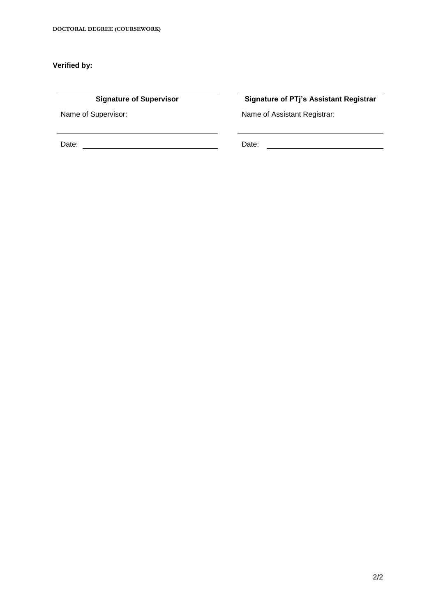### **Verified by:**

Date: Date:

**Signature of Supervisor Signature of PTj's Assistant Registrar**

 $\overline{\phantom{0}}$ 

Name of Supervisor: Name of Assistant Registrar: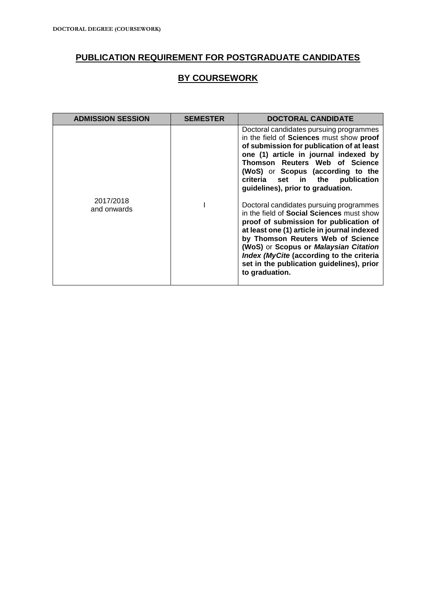# **PUBLICATION REQUIREMENT FOR POSTGRADUATE CANDIDATES**

## **BY COURSEWORK**

| <b>ADMISSION SESSION</b> | <b>SEMESTER</b> | <b>DOCTORAL CANDIDATE</b>                                                                                                                                                                                                                                                                                                                                                     |
|--------------------------|-----------------|-------------------------------------------------------------------------------------------------------------------------------------------------------------------------------------------------------------------------------------------------------------------------------------------------------------------------------------------------------------------------------|
|                          |                 | Doctoral candidates pursuing programmes<br>in the field of Sciences must show proof<br>of submission for publication of at least<br>one (1) article in journal indexed by<br>Thomson Reuters Web of Science<br>(WoS) or Scopus (according to the<br>criteria set in<br>the<br>publication<br>guidelines), prior to graduation.                                                |
| 2017/2018<br>and onwards |                 | Doctoral candidates pursuing programmes<br>in the field of <b>Social Sciences</b> must show<br>proof of submission for publication of<br>at least one (1) article in journal indexed<br>by Thomson Reuters Web of Science<br>(WoS) or Scopus or Malaysian Citation<br>Index (MyCite (according to the criteria<br>set in the publication guidelines), prior<br>to graduation. |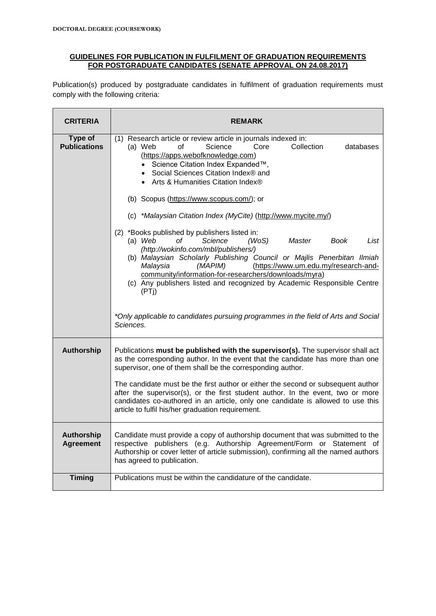#### **GUIDELINES FOR PUBLICATION IN FULFILMENT OF GRADUATION REQUIREMENTS FOR POSTGRADUATE CANDIDATES (SENATE APPROVAL ON 24.08.2017)**

Publication(s) produced by postgraduate candidates in fulfilment of graduation requirements must comply with the following criteria:

| <b>CRITERIA</b>                       | <b>REMARK</b>                                                                                                                                                                                                                                                                                                                                                                                                                                                                                                                                                     |  |
|---------------------------------------|-------------------------------------------------------------------------------------------------------------------------------------------------------------------------------------------------------------------------------------------------------------------------------------------------------------------------------------------------------------------------------------------------------------------------------------------------------------------------------------------------------------------------------------------------------------------|--|
| Type of<br><b>Publications</b>        | (1) Research article or review article in journals indexed in:<br>Science<br>Collection<br>(a) Web<br>Core<br>of<br>databases<br>(https://apps.webofknowledge.com)<br>• Science Citation Index Expanded™,<br>• Social Sciences Citation Index® and<br>• Arts & Humanities Citation Index®<br>(b) Scopus (https://www.scopus.com/); or<br>(c) *Malaysian Citation Index (MyCite) (http://www.mycite.my/)<br>(2) *Books published by publishers listed in:<br>(a) $Web$<br>οf<br>Science<br>(WoS)<br>Master<br>List<br>Book<br>(http://wokinfo.com/mbl/publishers/) |  |
|                                       | (b) Malaysian Scholarly Publishing Council or Majlis Penerbitan Ilmiah<br>Malaysia<br>(https://www.um.edu.my/research-and-<br>(MAPIM)<br>community/information-for-researchers/downloads/myra)<br>(c) Any publishers listed and recognized by Academic Responsible Centre<br>(PTi)<br>*Only applicable to candidates pursuing programmes in the field of Arts and Social<br>Sciences.                                                                                                                                                                             |  |
| <b>Authorship</b>                     | Publications must be published with the supervisor(s). The supervisor shall act<br>as the corresponding author. In the event that the candidate has more than one<br>supervisor, one of them shall be the corresponding author.<br>The candidate must be the first author or either the second or subsequent author<br>after the supervisor(s), or the first student author. In the event, two or more<br>candidates co-authored in an article, only one candidate is allowed to use this<br>article to fulfil his/her graduation requirement.                    |  |
| <b>Authorship</b><br><b>Agreement</b> | Candidate must provide a copy of authorship document that was submitted to the<br>respective publishers (e.g. Authorship Agreement/Form or Statement of<br>Authorship or cover letter of article submission), confirming all the named authors<br>has agreed to publication.                                                                                                                                                                                                                                                                                      |  |
| <b>Timing</b>                         | Publications must be within the candidature of the candidate.                                                                                                                                                                                                                                                                                                                                                                                                                                                                                                     |  |